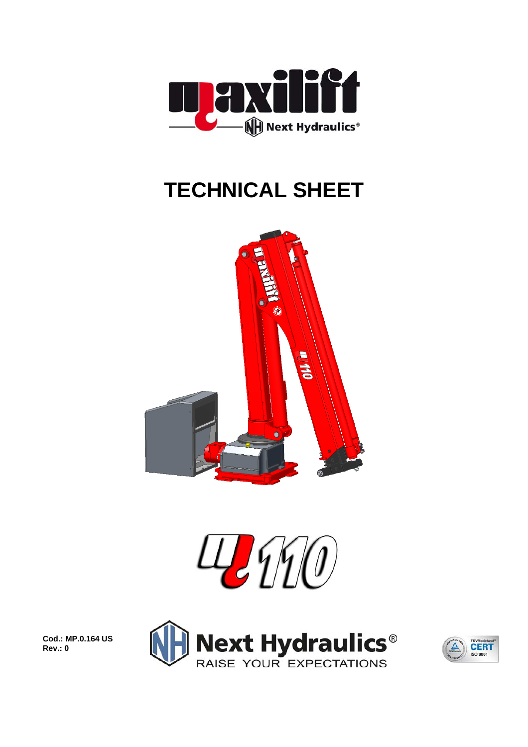

## **TECHNICAL SHEET**





**Next Hydraulics<sup>®</sup>**<br>RAISE YOUR EXPECTATIONS



**Cod.: MP.0.164 US Rev.: 0**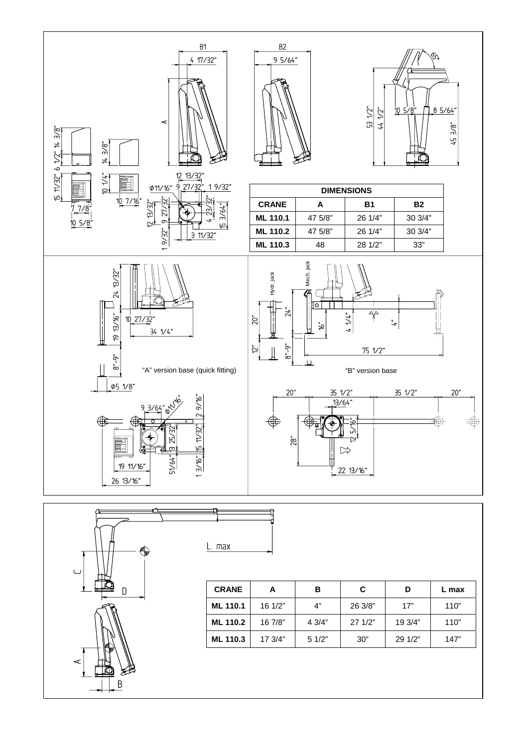

L. max



| <b>CRANE</b>    | А       | в      | C       | D       | L max |  |
|-----------------|---------|--------|---------|---------|-------|--|
| <b>ML 110.1</b> | 16 1/2" | 4"     | 26 3/8" | 17"     | 110"  |  |
| <b>ML 110.2</b> | 16 7/8" | 4 3/4" | 271/2"  | 19 3/4" | 110"  |  |
| <b>ML 110.3</b> | 17 3/4" | 51/2"  | 30"     | 29 1/2" | 147"  |  |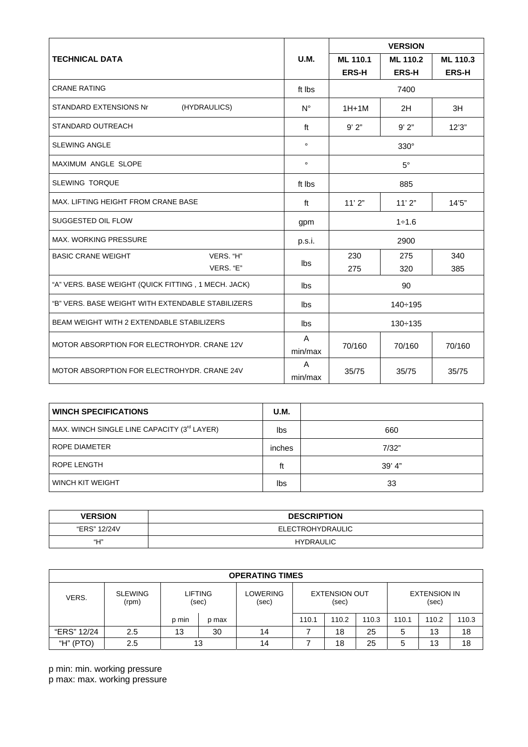|                                                     |             | <b>VERSION</b> |              |              |  |  |
|-----------------------------------------------------|-------------|----------------|--------------|--------------|--|--|
| <b>TECHNICAL DATA</b>                               | <b>U.M.</b> | ML 110.1       | ML 110.2     | ML 110.3     |  |  |
|                                                     |             | <b>ERS-H</b>   | <b>ERS-H</b> | <b>ERS-H</b> |  |  |
| <b>CRANE RATING</b>                                 | ft Ibs      | 7400           |              |              |  |  |
| (HYDRAULICS)<br><b>STANDARD EXTENSIONS Nr</b>       | $N^{\circ}$ | $1H+1M$        | 2H           | 3H           |  |  |
| STANDARD OUTREACH                                   | ft          | 9'2"           | 9'2"         | 12'3''       |  |  |
| <b>SLEWING ANGLE</b>                                | $\circ$     | $330^\circ$    |              |              |  |  |
| <b>MAXIMUM ANGLE SLOPE</b>                          | $\circ$     | $5^\circ$      |              |              |  |  |
| <b>SLEWING TORQUE</b>                               | ft Ibs      | 885            |              |              |  |  |
| MAX. LIFTING HEIGHT FROM CRANE BASE                 | ft          | 11'2"<br>11'2" |              | 14'5''       |  |  |
| SUGGESTED OIL FLOW                                  | gpm         | $1 + 1.6$      |              |              |  |  |
| <b>MAX. WORKING PRESSURE</b>                        | p.s.i.      | 2900           |              |              |  |  |
| VERS. "H"<br><b>BASIC CRANE WEIGHT</b>              | lbs         | 230            | 275          | 340          |  |  |
| VERS. "E"                                           |             | 275            | 320          | 385          |  |  |
| "A" VERS. BASE WEIGHT (QUICK FITTING, 1 MECH. JACK) | lbs         | 90             |              |              |  |  |
| "B" VERS. BASE WEIGHT WITH EXTENDABLE STABILIZERS   | lbs         | $140 \div 195$ |              |              |  |  |
| BEAM WEIGHT WITH 2 EXTENDABLE STABILIZERS           | lbs         | $130 \div 135$ |              |              |  |  |
| MOTOR ABSORPTION FOR ELECTROHYDR, CRANE 12V         | A           |                | 70/160       | 70/160       |  |  |
|                                                     | min/max     | 70/160         |              |              |  |  |
| MOTOR ABSORPTION FOR ELECTROHYDR, CRANE 24V         | A           | 35/75          | 35/75        | 35/75        |  |  |
|                                                     | min/max     |                |              |              |  |  |

| <b>WINCH SPECIFICATIONS</b>                 | U.M.   |        |
|---------------------------------------------|--------|--------|
| MAX. WINCH SINGLE LINE CAPACITY (3rd LAYER) | lbs    | 660    |
| ROPE DIAMETER                               | inches | 7/32"  |
| <b>ROPE LENGTH</b>                          | ft     | 39' 4" |
| WINCH KIT WEIGHT                            |        | 33     |

| <b>VERSION</b> | <b>DESCRIPTION</b>      |  |  |
|----------------|-------------------------|--|--|
| "ERS" 12/24V   | <b>ELECTROHYDRAULIC</b> |  |  |
| "Н"            | <b>HYDRAULIC</b>        |  |  |

| <b>OPERATING TIMES</b> |                         |       |                  |                   |       |                               |       |       |                              |       |
|------------------------|-------------------------|-------|------------------|-------------------|-------|-------------------------------|-------|-------|------------------------------|-------|
| VERS.                  | <b>SLEWING</b><br>(rpm) |       | LIFTING<br>(sec) | LOWERING<br>(sec) |       | <b>EXTENSION OUT</b><br>(sec) |       |       | <b>EXTENSION IN</b><br>(sec) |       |
|                        |                         | p min | p max            |                   | 110.1 | 110.2                         | 110.3 | 110.1 | 110.2                        | 110.3 |
| "ERS" 12/24            | 2.5                     | 13    | 30               | 14                |       | 18                            | 25    | 5     | 13                           | 18    |
| (PTO)<br>"Н"           | 2.5                     |       | 13               | 14                |       | 18                            | 25    | 5     | 13                           | 18    |

p min: min. working pressure p max: max. working pressure